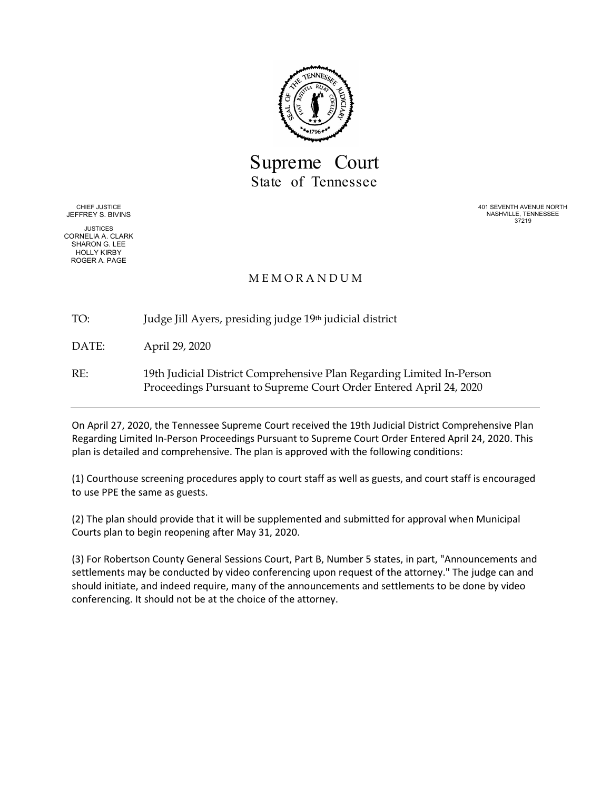

Supreme Court State of Tennessee

CHIEF JUSTICE JEFFREY S. BIVINS

JUSTICES CORNELIA A. CLARK SHARON G. LEE HOLLY KIRBY ROGER A. PAGE

401 SEVENTH AVENUE NORTH NASHVILLE, TENNESSEE 37219

# M E M O R A N D U M

TO: Judge Jill Ayers, presiding judge 19th judicial district

DATE: April 29, 2020

RE: 19th Judicial District Comprehensive Plan Regarding Limited In-Person Proceedings Pursuant to Supreme Court Order Entered April 24, 2020

On April 27, 2020, the Tennessee Supreme Court received the 19th Judicial District Comprehensive Plan Regarding Limited In-Person Proceedings Pursuant to Supreme Court Order Entered April 24, 2020. This plan is detailed and comprehensive. The plan is approved with the following conditions:

(1) Courthouse screening procedures apply to court staff as well as guests, and court staff is encouraged to use PPE the same as guests.

(2) The plan should provide that it will be supplemented and submitted for approval when Municipal Courts plan to begin reopening after May 31, 2020.

(3) For Robertson County General Sessions Court, Part B, Number 5 states, in part, "Announcements and settlements may be conducted by video conferencing upon request of the attorney." The judge can and should initiate, and indeed require, many of the announcements and settlements to be done by video conferencing. It should not be at the choice of the attorney.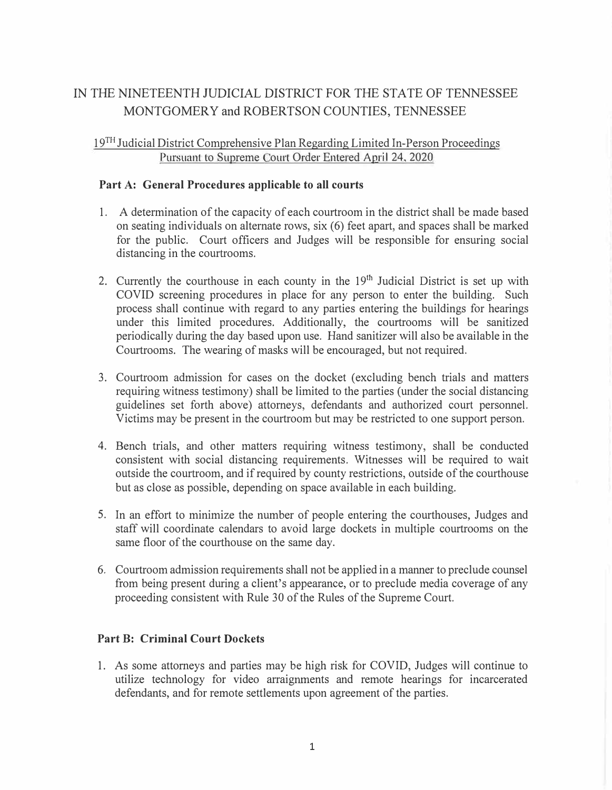# IN THE NINETEENTH JUDICIAL DISTRICT FOR THE STATE OF TENNESSEE MONTGOMERY and ROBERTSON COUNTIES, TENNESSEE

# 19<sup>TH</sup> Judicial District Comprehensive Plan Regarding Limited In-Person Proceedings Pursuant to Supreme Court Order Entered April 24, 2020

#### **Part A: General Procedures applicable to all courts**

- 1. A determination of the capacity of each courtroom in the district shall be made based on seating individuals on alternate rows, six (6) feet apart, and spaces shall be marked for the public. Court officers and Judges will be responsible for ensuring social distancing in the courtrooms.
- 2. Currently the courthouse in each county in the 19<sup>th</sup> Judicial District is set up with COVID screening procedures in place for any person to enter the building. Such process shall continue with regard to any parties entering the buildings for hearings under this limited procedures. Additionally, the courtrooms will be sanitized periodically during the day based upon use. Hand sanitizer will also be available in the Courtrooms. The wearing of masks will be encouraged, but not required.
- 3. Courtroom admission for cases on the docket ( excluding bench trials and matters requiring witness testimony) shall be limited to the parties (under the social distancing guidelines set forth above) attorneys, defendants and authorized court personnel. Victims may be present in the courtroom but may be restricted to one support person.
- 4. Bench trials, and other matters requiring witness testimony, shall be conducted consistent with social distancing requirements. Witnesses will be required to wait outside the courtroom, and if required by county restrictions, outside of the courthouse but as close as possible, depending on space available in each building.
- 5. In an effort to minimize the number of people entering the courthouses, Judges and staff will coordinate calendars to avoid large dockets in multiple courtrooms on the same floor of the courthouse on the same day.
- 6. Courtroom admission requirements shall not be applied in a manner to preclude counsel from being present during a client's appearance, or to preclude media coverage of any proceeding consistent with Rule 30 of the Rules of the Supreme Court.

#### **Part B: Criminal Court Dockets**

1. As some attorneys and parties may be high risk for COVID, Judges will continue to utilize technology for video arraignments and remote hearings for incarcerated defendants, and for remote settlements upon agreement of the parties.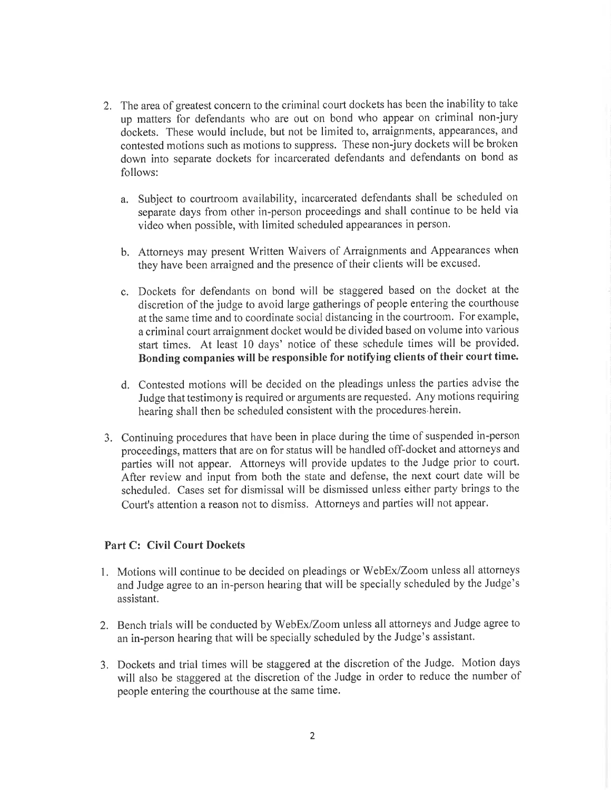- 2. The area of greatest concern to the criminal court dockets has been the inability to take up matters for defendants who are out on bond who appear on criminal non-jury dockets. These would include, but not be limited to, arraignments, appearances, and contested motions such as motions to suppress. These non-jury dockets will be broken down into separate dockets for incarcerated defendants and defendants on bond as follows:
	- a. Subject to courtroom availability, incarcerated defendants shall be scheduled on separate days from other in-person proceedings and shall continue to be held via video when possible, with limited scheduled appearances in person.
	- b. Attorneys may present Written Waivers of Arraignments and Appearances when they have been arraigned and the presence of their clients will be excused.
	- c. Dockets for defendants on bond will be staggered based on the docket at the discretion of the judge to avoid large gatherings of people entering the courthouse at the same time and to coordinate social distancing in the courtroom. For example, a criminal court arraignment docket would be divided based on volume into various start times. At least 10 days' notice of these schedule times will be provided. Bonding companies will be responsible for notifying clients of their court time.
	- d. Contested motions will be decided on the pleadings unless the parties advise the Judge that testimony is required or arguments are requested. Any motions requiring hearing shall then be scheduled consistent with the procedures herein.
- 3. Continuing procedures that have been in place during the time of suspended in-person proceedings, matters that are on for status will be handled off-docket and attorneys and parties will not appear. Attorneys will provide updates to the Judge prior to court. After review and input from both the state and defense, the next court date will be scheduled. Cases set for dismissal will be dismissed unless either party brings to the Court's attention a reason not to dismiss. Attorneys and parties will not appear.

#### **Part C: Civil Court Dockets**

- 1. Motions will continue to be decided on pleadings or WebEx/Zoom unless all attorneys and Judge agree to an in-person hearing that will be specially scheduled by the Judge's assistant.
- 2. Bench trials will be conducted by WebEx/Zoom unless all attorneys and Judge agree to an in-person hearing that will be specially scheduled by the Judge's assistant.
- 3. Dockets and trial times will be staggered at the discretion of the Judge. Motion days will also be staggered at the discretion of the Judge in order to reduce the number of people entering the courthouse at the same time.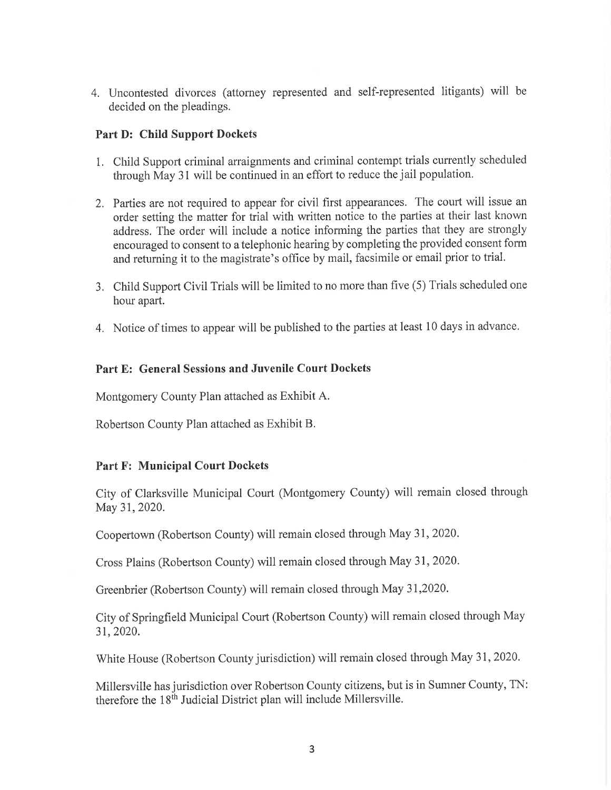4. Uncontested divorces (attorney represented and self-represented litigants) will be decided on the pleadings.

#### **Part D: Child Support Dockets**

- 1. Child Support criminal arraignments and criminal contempt trials currently scheduled through May 31 will be continued in an effort to reduce the jail population.
- 2. Parties are not required to appear for civil first appearances. The court will issue an order setting the matter for trial with written notice to the parties at their last known address. The order will include a notice informing the parties that they are strongly encouraged to consent to a telephonic hearing by completing the provided consent form and returning it to the magistrate's office by mail, facsimile or email prior to trial.
- 3. Child Support Civil Trials will be limited to no more than five (5) Trials scheduled one hour apart.
- 4. Notice of times to appear will be published to the parties at least 10 days in advance.

#### Part E: General Sessions and Juvenile Court Dockets

Montgomery County Plan attached as Exhibit A.

Robertson County Plan attached as Exhibit B.

#### **Part F: Municipal Court Dockets**

City of Clarksville Municipal Court (Montgomery County) will remain closed through May 31, 2020.

Coopertown (Robertson County) will remain closed through May 31, 2020.

Cross Plains (Robertson County) will remain closed through May 31, 2020.

Greenbrier (Robertson County) will remain closed through May 31,2020.

City of Springfield Municipal Court (Robertson County) will remain closed through May 31, 2020.

White House (Robertson County jurisdiction) will remain closed through May 31, 2020.

Millersville has jurisdiction over Robertson County citizens, but is in Sumner County, TN: therefore the 18<sup>th</sup> Judicial District plan will include Millersville.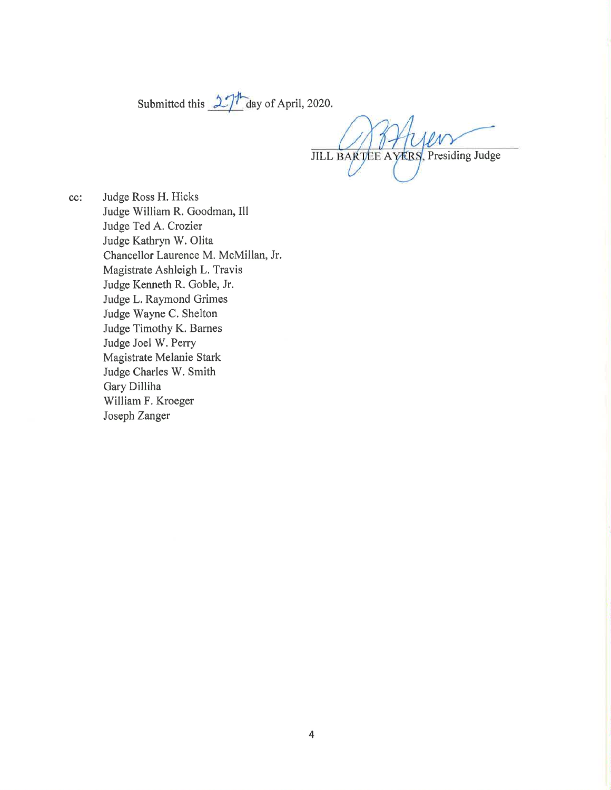Submitted this  $27<sup>h</sup>$  day of April, 2020.

JILL BARTEE AVERS, Presiding Judge

Judge Ross H. Hicks cc: Judge William R. Goodman, Ill Judge Ted A. Crozier Judge Kathryn W. Olita Chancellor Laurence M. McMillan, Jr. Magistrate Ashleigh L. Travis Judge Kenneth R. Goble, Jr. Judge L. Raymond Grimes Judge Wayne C. Shelton Judge Timothy K. Barnes Judge Joel W. Perry Magistrate Melanie Stark Judge Charles W. Smith Gary Dilliha William F. Kroeger Joseph Zanger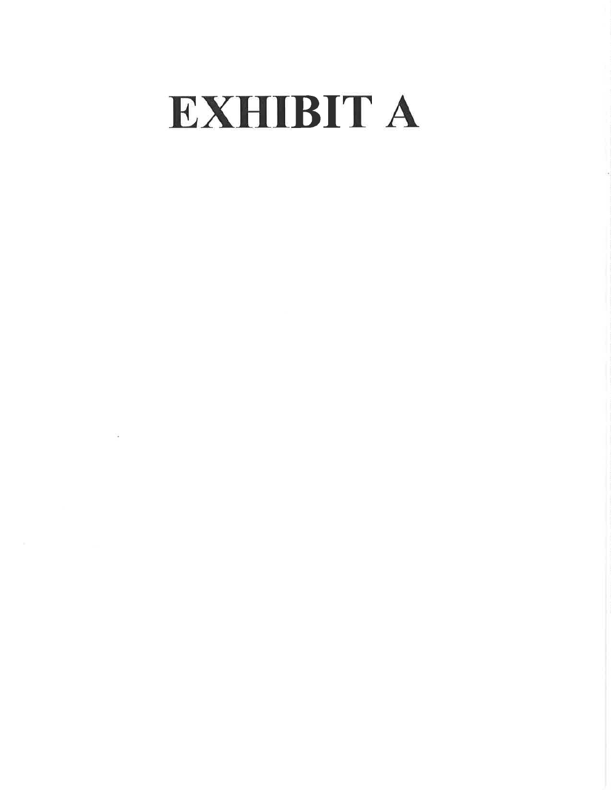# **EXHIBIT A**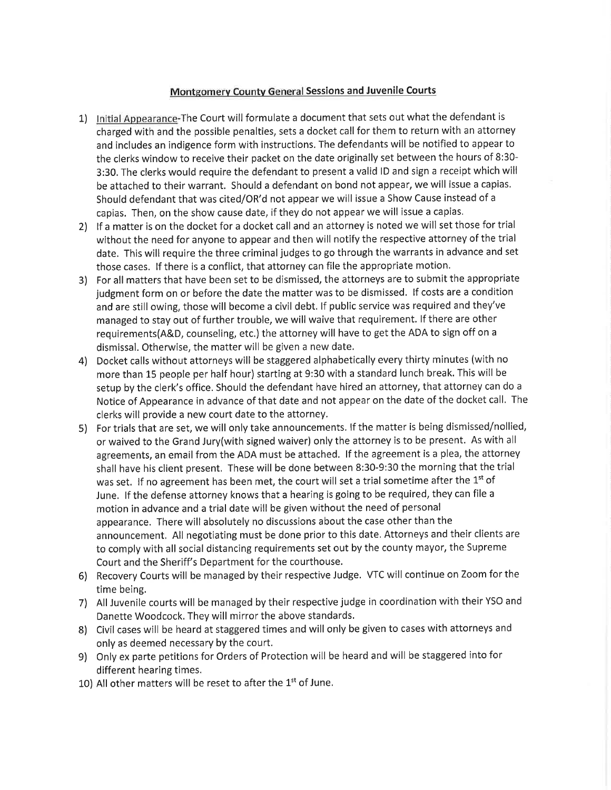### **Montgomery County General Sessions and Juvenile Courts**

- 1) Initial Appearance-The Court will formulate a document that sets out what the defendant is charged with and the possible penalties, sets a docket call for them to return with an attorney and includes an indigence form with instructions. The defendants will be notified to appear to the clerks window to receive their packet on the date originally set between the hours of 8:30-3:30. The clerks would require the defendant to present a valid ID and sign a receipt which will be attached to their warrant. Should a defendant on bond not appear, we will issue a capias. Should defendant that was cited/OR'd not appear we will issue a Show Cause instead of a capias. Then, on the show cause date, if they do not appear we will issue a capias.
- 2) If a matter is on the docket for a docket call and an attorney is noted we will set those for trial without the need for anyone to appear and then will notify the respective attorney of the trial date. This will require the three criminal judges to go through the warrants in advance and set those cases. If there is a conflict, that attorney can file the appropriate motion.
- 3) For all matters that have been set to be dismissed, the attorneys are to submit the appropriate judgment form on or before the date the matter was to be dismissed. If costs are a condition and are still owing, those will become a civil debt. If public service was required and they've managed to stay out of further trouble, we will waive that requirement. If there are other requirements(A&D, counseling, etc.) the attorney will have to get the ADA to sign off on a dismissal. Otherwise, the matter will be given a new date.
- 4) Docket calls without attorneys will be staggered alphabetically every thirty minutes (with no more than 15 people per half hour) starting at 9:30 with a standard lunch break. This will be setup by the clerk's office. Should the defendant have hired an attorney, that attorney can do a Notice of Appearance in advance of that date and not appear on the date of the docket call. The clerks will provide a new court date to the attorney.
- 5) For trials that are set, we will only take announcements. If the matter is being dismissed/nollied, or waived to the Grand Jury(with signed waiver) only the attorney is to be present. As with all agreements, an email from the ADA must be attached. If the agreement is a plea, the attorney shall have his client present. These will be done between 8:30-9:30 the morning that the trial was set. If no agreement has been met, the court will set a trial sometime after the 1<sup>st</sup> of June. If the defense attorney knows that a hearing is going to be required, they can file a motion in advance and a trial date will be given without the need of personal appearance. There will absolutely no discussions about the case other than the announcement. All negotiating must be done prior to this date. Attorneys and their clients are to comply with all social distancing requirements set out by the county mayor, the Supreme Court and the Sheriff's Department for the courthouse.
- 6) Recovery Courts will be managed by their respective Judge. VTC will continue on Zoom for the time being.
- 7) All Juvenile courts will be managed by their respective judge in coordination with their YSO and Danette Woodcock. They will mirror the above standards.
- 8) Civil cases will be heard at staggered times and will only be given to cases with attorneys and only as deemed necessary by the court.
- 9) Only ex parte petitions for Orders of Protection will be heard and will be staggered into for different hearing times.
- 10) All other matters will be reset to after the 1st of June.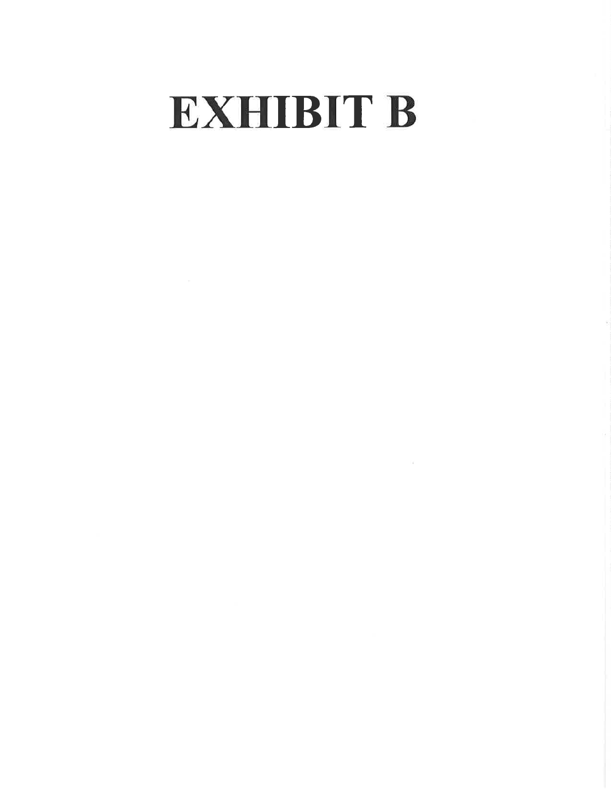# **EXHIBIT B**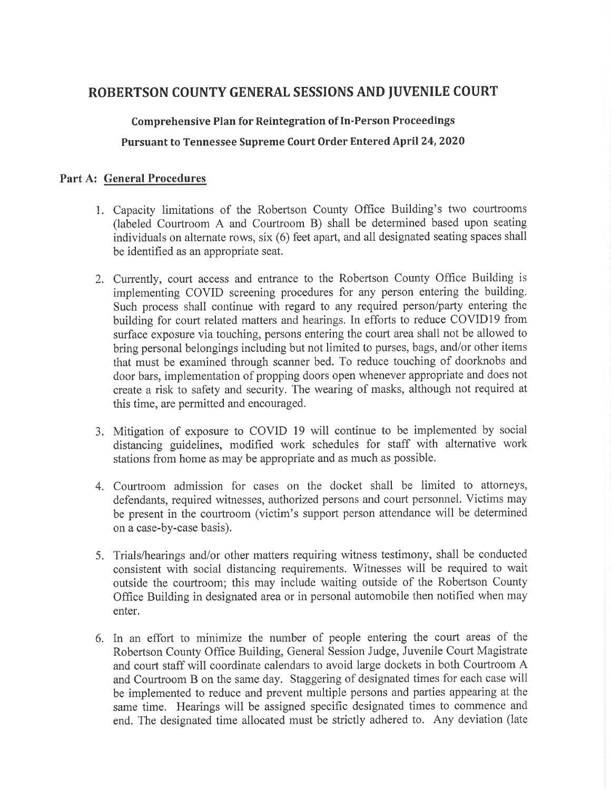# ROBERTSON COUNTY GENERAL SESSIONS AND JUVENILE COURT

**Comprehensive Plan for Reintegration of In-Person Proceedings** Pursuant to Tennessee Supreme Court Order Entered April 24, 2020

### **Part A: General Procedures**

- 1. Capacity limitations of the Robertson County Office Building's two courtrooms (labeled Courtroom A and Courtroom B) shall be determined based upon seating individuals on alternate rows, six (6) feet apart, and all designated seating spaces shall be identified as an appropriate seat.
- 2. Currently, court access and entrance to the Robertson County Office Building is implementing COVID screening procedures for any person entering the building. Such process shall continue with regard to any required person/party entering the building for court related matters and hearings. In efforts to reduce COVID19 from surface exposure via touching, persons entering the court area shall not be allowed to bring personal belongings including but not limited to purses, bags, and/or other items that must be examined through scanner bed. To reduce touching of doorknobs and door bars, implementation of propping doors open whenever appropriate and does not create a risk to safety and security. The wearing of masks, although not required at this time, are permitted and encouraged.
- 3. Mitigation of exposure to COVID 19 will continue to be implemented by social distancing guidelines, modified work schedules for staff with alternative work stations from home as may be appropriate and as much as possible.
- 4. Courtroom admission for cases on the docket shall be limited to attorneys, defendants, required witnesses, authorized persons and court personnel. Victims may be present in the courtroom (victim's support person attendance will be determined on a case-by-case basis).
- 5. Trials/hearings and/or other matters requiring witness testimony, shall be conducted consistent with social distancing requirements. Witnesses will be required to wait outside the courtroom; this may include waiting outside of the Robertson County Office Building in designated area or in personal automobile then notified when may enter.
- 6. In an effort to minimize the number of people entering the court areas of the Robertson County Office Building, General Session Judge, Juvenile Court Magistrate and court staff will coordinate calendars to avoid large dockets in both Courtroom A and Courtroom B on the same day. Staggering of designated times for each case will be implemented to reduce and prevent multiple persons and parties appearing at the same time. Hearings will be assigned specific designated times to commence and end. The designated time allocated must be strictly adhered to. Any deviation (late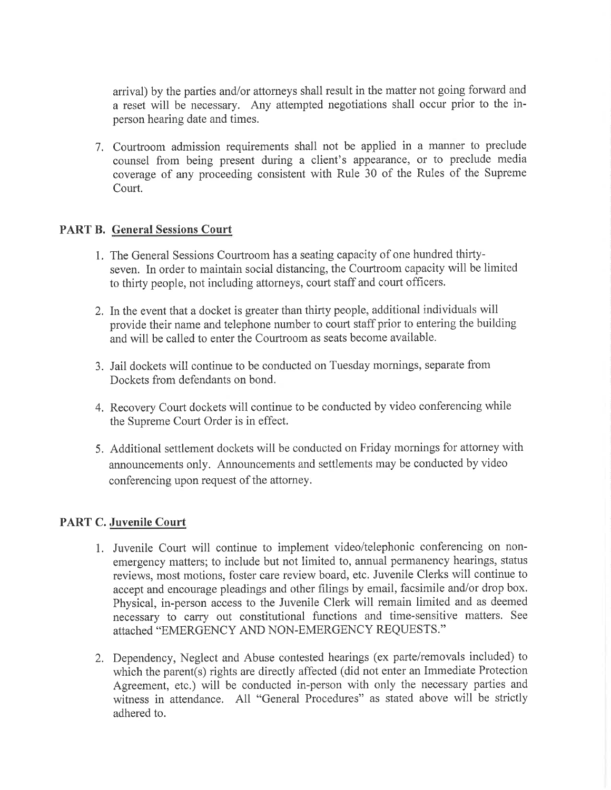arrival) by the parties and/or attorneys shall result in the matter not going forward and a reset will be necessary. Any attempted negotiations shall occur prior to the inperson hearing date and times.

7. Courtroom admission requirements shall not be applied in a manner to preclude counsel from being present during a client's appearance, or to preclude media coverage of any proceeding consistent with Rule 30 of the Rules of the Supreme Court.

## **PART B. General Sessions Court**

- 1. The General Sessions Courtroom has a seating capacity of one hundred thirtyseven. In order to maintain social distancing, the Courtroom capacity will be limited to thirty people, not including attorneys, court staff and court officers.
- 2. In the event that a docket is greater than thirty people, additional individuals will provide their name and telephone number to court staff prior to entering the building and will be called to enter the Courtroom as seats become available.
- 3. Jail dockets will continue to be conducted on Tuesday mornings, separate from Dockets from defendants on bond.
- 4. Recovery Court dockets will continue to be conducted by video conferencing while the Supreme Court Order is in effect.
- 5. Additional settlement dockets will be conducted on Friday mornings for attorney with announcements only. Announcements and settlements may be conducted by video conferencing upon request of the attorney.

# **PART C. Juvenile Court**

- 1. Juvenile Court will continue to implement video/telephonic conferencing on nonemergency matters; to include but not limited to, annual permanency hearings, status reviews, most motions, foster care review board, etc. Juvenile Clerks will continue to accept and encourage pleadings and other filings by email, facsimile and/or drop box. Physical, in-person access to the Juvenile Clerk will remain limited and as deemed necessary to carry out constitutional functions and time-sensitive matters. See attached "EMERGENCY AND NON-EMERGENCY REQUESTS."
- 2. Dependency, Neglect and Abuse contested hearings (ex parte/removals included) to which the parent(s) rights are directly affected (did not enter an Immediate Protection Agreement, etc.) will be conducted in-person with only the necessary parties and witness in attendance. All "General Procedures" as stated above will be strictly adhered to.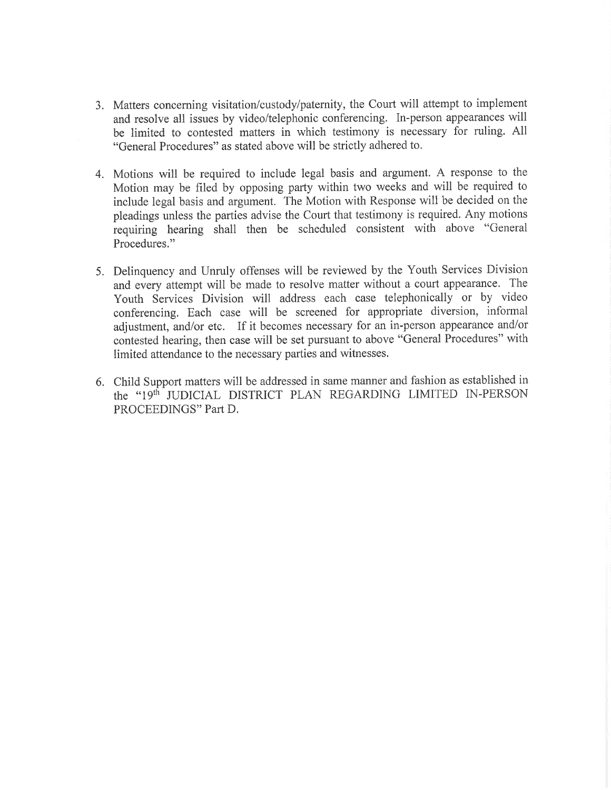- 3. Matters concerning visitation/custody/paternity, the Court will attempt to implement and resolve all issues by video/telephonic conferencing. In-person appearances will be limited to contested matters in which testimony is necessary for ruling. All "General Procedures" as stated above will be strictly adhered to.
- 4. Motions will be required to include legal basis and argument. A response to the Motion may be filed by opposing party within two weeks and will be required to include legal basis and argument. The Motion with Response will be decided on the pleadings unless the parties advise the Court that testimony is required. Any motions requiring hearing shall then be scheduled consistent with above "General Procedures."
- 5. Delinquency and Unruly offenses will be reviewed by the Youth Services Division and every attempt will be made to resolve matter without a court appearance. The Youth Services Division will address each case telephonically or by video conferencing. Each case will be screened for appropriate diversion, informal adjustment, and/or etc. If it becomes necessary for an in-person appearance and/or contested hearing, then case will be set pursuant to above "General Procedures" with limited attendance to the necessary parties and witnesses.
- 6. Child Support matters will be addressed in same manner and fashion as established in the "19th JUDICIAL DISTRICT PLAN REGARDING LIMITED IN-PERSON PROCEEDINGS" Part D.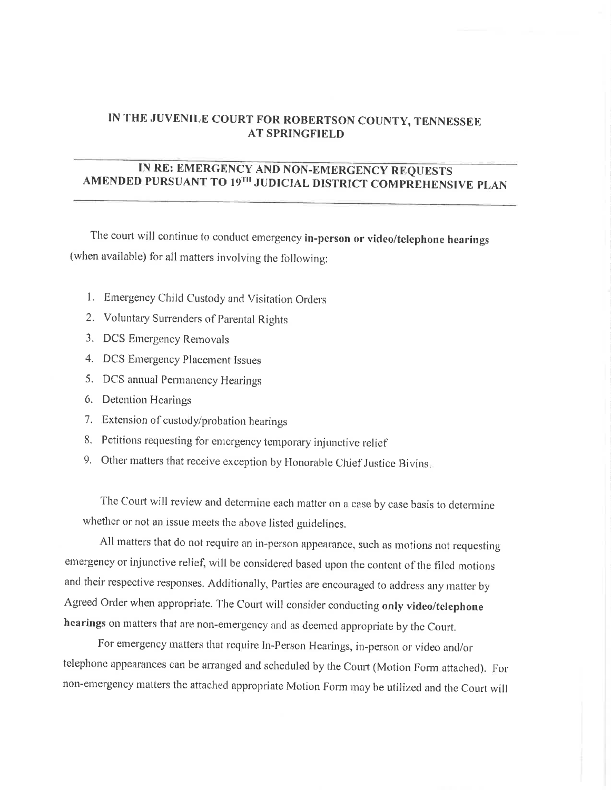# IN THE JUVENILE COURT FOR ROBERTSON COUNTY, TENNESSEE **AT SPRINGFIELD**

# IN RE: EMERGENCY AND NON-EMERGENCY REQUESTS<br>AMENDED PURSUANT TO 19<sup>TH</sup> JUDICIAL DISTRICT COMPREHENSIVE PLAN

The court will continue to conduct emergency in-person or video/telephone hearings (when available) for all matters involving the following:

- 1. Emergency Child Custody and Visitation Orders
- 2. Voluntary Surrenders of Parental Rights
- 3. DCS Emergency Removals
- 4. DCS Emergency Placement Issues
- 5. DCS annual Permanency Hearings
- 6. Detention Hearings
- 7. Extension of custody/probation hearings
- 8. Petitions requesting for emergency temporary injunctive relief
- 9. Other matters that receive exception by Honorable Chief Justice Bivins.

The Court will review and determine each matter on a case by case basis to determine whether or not an issue meets the above listed guidelines.

All matters that do not require an in-person appearance, such as motions not requesting emergency or injunctive relief, will be considered based upon the content of the filed motions and their respective responses. Additionally, Parties are encouraged to address any matter by Agreed Order when appropriate. The Court will consider conducting only video/telephone hearings on matters that are non-emergency and as deemed appropriate by the Court.

For emergency matters that require In-Person Hearings, in-person or video and/or telephone appearances can be arranged and scheduled by the Court (Motion Form attached). For non-emergency matters the attached appropriate Motion Form may be utilized and the Court will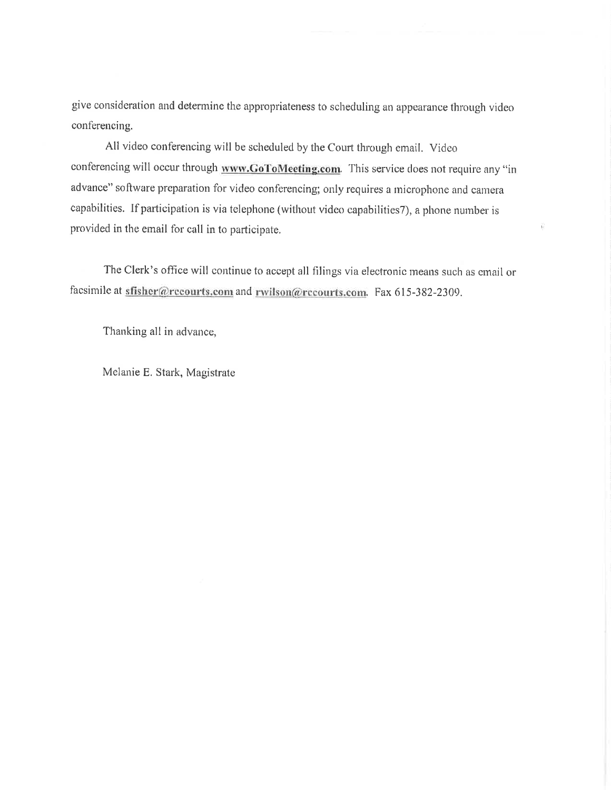give consideration and determine the appropriateness to scheduling an appearance through video conferencing.

All video conferencing will be scheduled by the Court through email. Video conferencing will occur through www.GoToMeeting.com. This service does not require any "in advance" software preparation for video conferencing; only requires a microphone and camera capabilities. If participation is via telephone (without video capabilities7), a phone number is provided in the email for call in to participate.

Ÿ.

The Clerk's office will continue to accept all filings via electronic means such as email or facsimile at sfisher@recourts.com and rwilson@recourts.com. Fax 615-382-2309.

Thanking all in advance,

Melanie E. Stark, Magistrate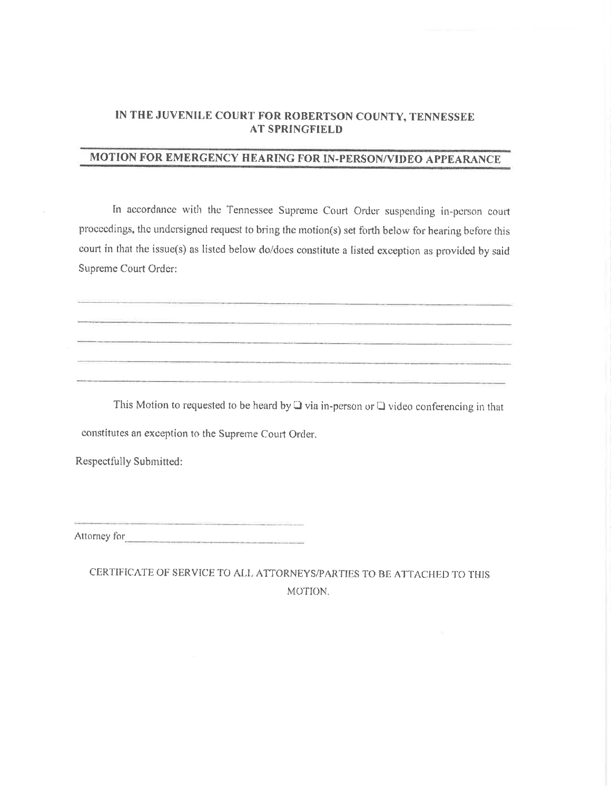### IN THE JUVENILE COURT FOR ROBERTSON COUNTY, TENNESSEE **AT SPRINGFIELD**

# MOTION FOR EMERGENCY HEARING FOR IN-PERSON/VIDEO APPEARANCE

In accordance with the Tennessee Supreme Court Order suspending in-person court proceedings, the undersigned request to bring the motion(s) set forth below for hearing before this court in that the issue(s) as listed below do/does constitute a listed exception as provided by said Supreme Court Order:

This Motion to requested to be heard by  $\Box$  via in-person or  $\Box$  video conferencing in that constitutes an exception to the Supreme Court Order.

Respectfully Submitted:

Attorney for 

CERTIFICATE OF SERVICE TO ALL ATTORNEYS/PARTIES TO BE ATTACHED TO THIS MOTION.